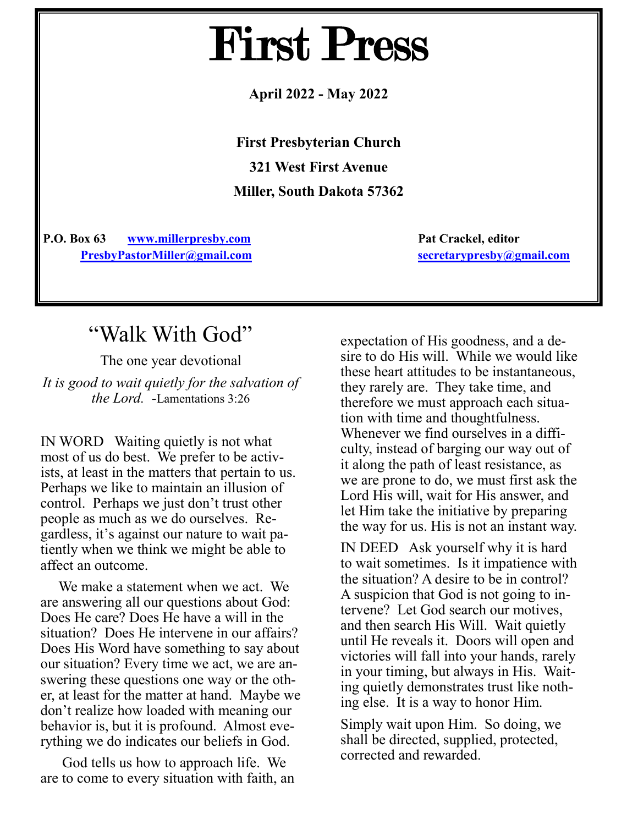# First Press

**April 2022 - May 2022**

**First Presbyterian Church 321 West First Avenue Miller, South Dakota 57362**

**P.O. Box 63 [www.millerpresby.com](http://www.millerpresby.com) Pat Crackel, editor [PresbyPastorMiller@gmail.com](http://www.millerpresbypastor@gmail.com) [secretarypresby@gmail.com](mailto:secretarypresby@gmail.com)**

### "Walk With God"

The one year devotional

*It is good to wait quietly for the salvation of the Lord. -*Lamentations 3:26

IN WORD Waiting quietly is not what most of us do best. We prefer to be activists, at least in the matters that pertain to us. Perhaps we like to maintain an illusion of control. Perhaps we just don't trust other people as much as we do ourselves. Regardless, it's against our nature to wait patiently when we think we might be able to affect an outcome.

 We make a statement when we act. We are answering all our questions about God: Does He care? Does He have a will in the situation? Does He intervene in our affairs? Does His Word have something to say about our situation? Every time we act, we are answering these questions one way or the other, at least for the matter at hand. Maybe we don't realize how loaded with meaning our behavior is, but it is profound. Almost everything we do indicates our beliefs in God.

 God tells us how to approach life. We are to come to every situation with faith, an

expectation of His goodness, and a desire to do His will. While we would like these heart attitudes to be instantaneous, they rarely are. They take time, and therefore we must approach each situation with time and thoughtfulness. Whenever we find ourselves in a difficulty, instead of barging our way out of it along the path of least resistance, as we are prone to do, we must first ask the Lord His will, wait for His answer, and let Him take the initiative by preparing the way for us. His is not an instant way.

IN DEED Ask yourself why it is hard to wait sometimes. Is it impatience with the situation? A desire to be in control? A suspicion that God is not going to intervene? Let God search our motives, and then search His Will. Wait quietly until He reveals it. Doors will open and victories will fall into your hands, rarely in your timing, but always in His. Waiting quietly demonstrates trust like nothing else. It is a way to honor Him.

Simply wait upon Him. So doing, we shall be directed, supplied, protected, corrected and rewarded.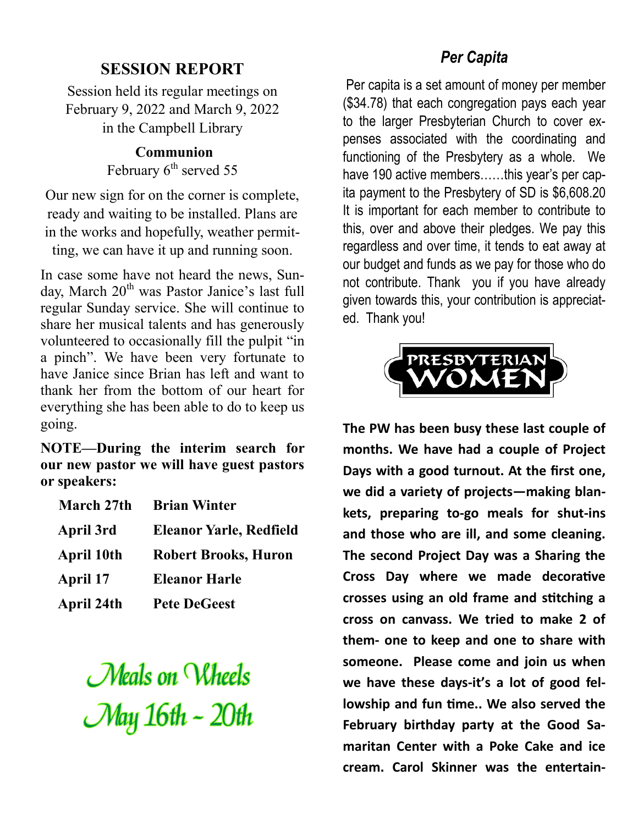#### **SESSION REPORT**

Session held its regular meetings on February 9, 2022 and March 9, 2022 in the Campbell Library

> **Communion**  February 6<sup>th</sup> served 55

Our new sign for on the corner is complete, ready and waiting to be installed. Plans are in the works and hopefully, weather permit-

ting, we can have it up and running soon.

In case some have not heard the news, Sunday, March  $20<sup>th</sup>$  was Pastor Janice's last full regular Sunday service. She will continue to share her musical talents and has generously volunteered to occasionally fill the pulpit "in a pinch". We have been very fortunate to have Janice since Brian has left and want to thank her from the bottom of our heart for everything she has been able to do to keep us going.

**NOTE—During the interim search for our new pastor we will have guest pastors or speakers:** 

| March 27th        | <b>Brian Winter</b>            |
|-------------------|--------------------------------|
| April 3rd         | <b>Eleanor Yarle, Redfield</b> |
| <b>April 10th</b> | <b>Robert Brooks, Huron</b>    |
| April 17          | <b>Eleanor Harle</b>           |
| <b>April 24th</b> | <b>Pete DeGeest</b>            |

Meals on Wheels May 16th ~ 20th

#### *Per Capita*

Per capita is a set amount of money per member (\$34.78) that each congregation pays each year to the larger Presbyterian Church to cover expenses associated with the coordinating and functioning of the Presbytery as a whole. We have 190 active members......this year's per capita payment to the Presbytery of SD is \$6,608.20 It is important for each member to contribute to this, over and above their pledges. We pay this regardless and over time, it tends to eat away at our budget and funds as we pay for those who do not contribute. Thank you if you have already given towards this, your contribution is appreciated. Thank you!



**The PW has been busy these last couple of months. We have had a couple of Project Days with a good turnout. At the first one, we did a variety of projects—making blankets, preparing to-go meals for shut-ins and those who are ill, and some cleaning. The second Project Day was a Sharing the Cross Day where we made decorative crosses using an old frame and stitching a cross on canvass. We tried to make 2 of them- one to keep and one to share with someone. Please come and join us when we have these days-it's a lot of good fellowship and fun time.. We also served the February birthday party at the Good Samaritan Center with a Poke Cake and ice cream. Carol Skinner was the entertain-**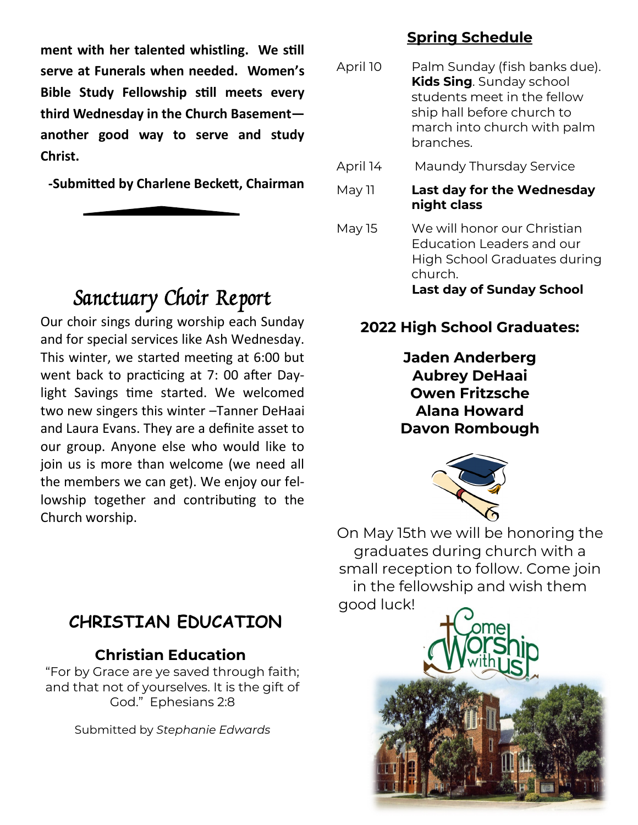**ment with her talented whistling. We still serve at Funerals when needed. Women's Bible Study Fellowship still meets every third Wednesday in the Church Basement another good way to serve and study Christ.** 

**-Submitted by Charlene Beckett, Chairman**

### Sanctuary Choir Report

Our choir sings during worship each Sunday and for special services like Ash Wednesday. This winter, we started meeting at 6:00 but went back to practicing at 7: 00 after Daylight Savings time started. We welcomed two new singers this winter –Tanner DeHaai and Laura Evans. They are a definite asset to our group. Anyone else who would like to join us is more than welcome (we need all the members we can get). We enjoy our fellowship together and contributing to the Church worship.

### **CHRISTIAN EDUCATION**

#### **Christian Education**

"For by Grace are ye saved through faith; and that not of yourselves. It is the gift of God." Ephesians 2:8

Submitted by *Stephanie Edwards*

#### **Spring Schedule**

- April 10 Palm Sunday (fish banks due). **Kids Sing**. Sunday school students meet in the fellow ship hall before church to march into church with palm branches.
- April 14 Maundy Thursday Service
- May 11 **Last day for the Wednesday night class**
- May 15 We will honor our Christian Education Leaders and our High School Graduates during church.

**Last day of Sunday School**

### **2022 High School Graduates:**

**Jaden Anderberg Aubrey DeHaai Owen Fritzsche Alana Howard Davon Rombough**



On May 15th we will be honoring the graduates during church with a small reception to follow. Come join in the fellowship and wish them good luck!

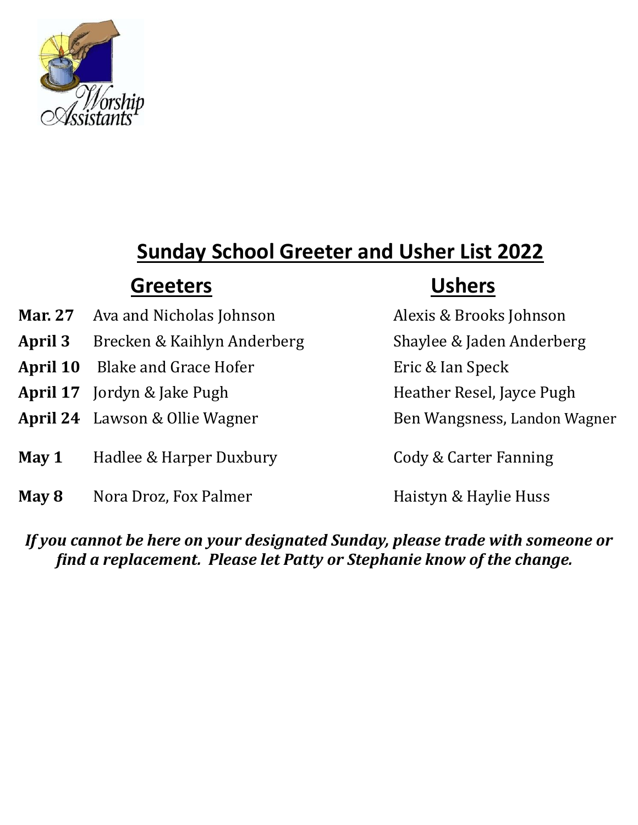

## **Sunday School Greeter and Usher List 2022**

### **Greeters Ushers**

- **Mar. 27** Ava and Nicholas Johnson Alexis & Brooks Johnson
- **April 3** Brecken & Kaihlyn Anderberg Shaylee & Jaden Anderberg
- **April 10** Blake and Grace Hofer Eric & Ian Speck
- **April 17** Jordyn & Jake Pugh Heather Resel, Jayce Pugh
- April 24 Lawson & Ollie Wagner Ben Wangsness, Landon Wagner
- **May 1** Hadlee & Harper Duxbury Cody & Carter Fanning
- **May 8** Nora Droz, Fox Palmer **Haistyn & Haylie Huss**

#### *If you cannot be here on your designated Sunday, please trade with someone or find a replacement. Please let Patty or Stephanie know of the change.*